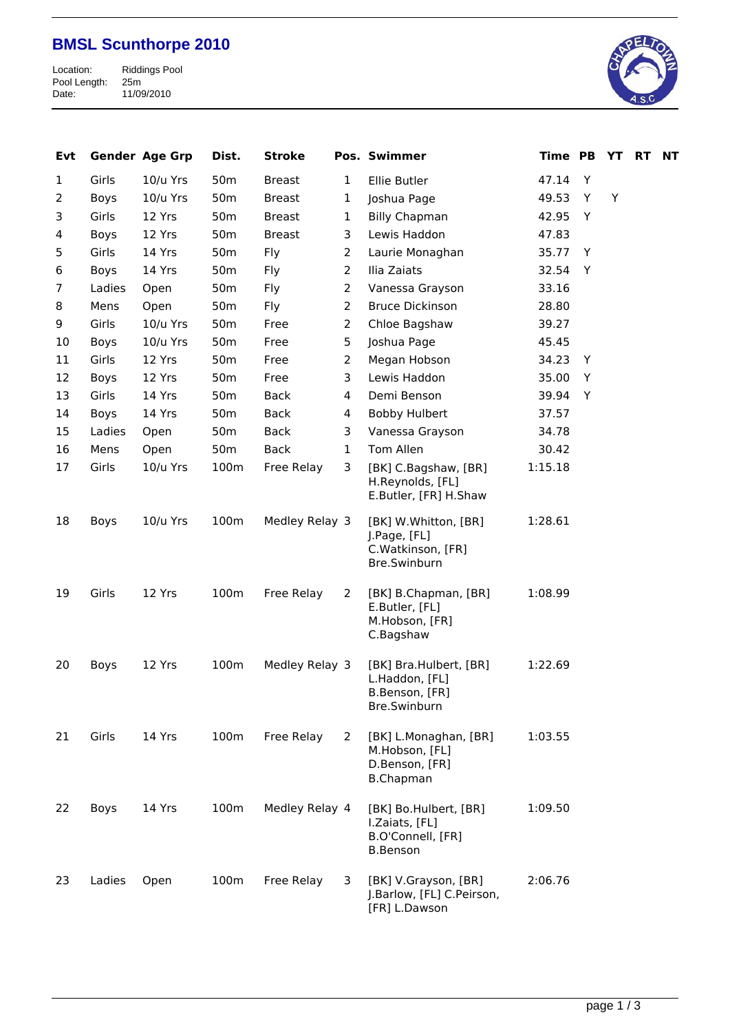## **BMSL Scunthorpe 2010**

Riddings Pool<br>25m<br>11/09/2010 Pool Length: 25m Date: 11/09/2010



| Evt          |        | <b>Gender Age Grp</b> | Dist.           | <b>Stroke</b>  |                | Pos. Swimmer                                                                    | <b>Time PB</b> |   | YT | <b>RT</b> | <b>NT</b> |
|--------------|--------|-----------------------|-----------------|----------------|----------------|---------------------------------------------------------------------------------|----------------|---|----|-----------|-----------|
| $\mathbf{1}$ | Girls  | 10/u Yrs              | 50 <sub>m</sub> | <b>Breast</b>  | $\mathbf{1}$   | Ellie Butler                                                                    | 47.14          | Y |    |           |           |
| 2            | Boys   | 10/u Yrs              | 50 <sub>m</sub> | <b>Breast</b>  | $\mathbf{1}$   | Joshua Page                                                                     | 49.53          | Y | Y  |           |           |
| 3            | Girls  | 12 Yrs                | 50 <sub>m</sub> | <b>Breast</b>  | $\mathbf{1}$   | <b>Billy Chapman</b>                                                            | 42.95          | Y |    |           |           |
| 4            | Boys   | 12 Yrs                | 50 <sub>m</sub> | <b>Breast</b>  | 3              | Lewis Haddon                                                                    | 47.83          |   |    |           |           |
| 5            | Girls  | 14 Yrs                | 50 <sub>m</sub> | Fly            | 2              | Laurie Monaghan                                                                 | 35.77          | Y |    |           |           |
| 6            | Boys   | 14 Yrs                | 50 <sub>m</sub> | Fly            | $\overline{2}$ | Ilia Zaiats                                                                     | 32.54          | Y |    |           |           |
| 7            | Ladies | Open                  | 50 <sub>m</sub> | Fly            | $\overline{2}$ | Vanessa Grayson                                                                 | 33.16          |   |    |           |           |
| 8            | Mens   | Open                  | 50 <sub>m</sub> | Fly            | $\overline{2}$ | <b>Bruce Dickinson</b>                                                          | 28.80          |   |    |           |           |
| 9            | Girls  | 10/u Yrs              | 50 <sub>m</sub> | Free           | $\overline{2}$ | Chloe Bagshaw                                                                   | 39.27          |   |    |           |           |
| 10           | Boys   | 10/u Yrs              | 50 <sub>m</sub> | Free           | 5              | Joshua Page                                                                     | 45.45          |   |    |           |           |
| 11           | Girls  | 12 Yrs                | 50 <sub>m</sub> | Free           | $\overline{2}$ | Megan Hobson                                                                    | 34.23          | Y |    |           |           |
| 12           | Boys   | 12 Yrs                | 50 <sub>m</sub> | Free           | 3              | Lewis Haddon                                                                    | 35.00          | Y |    |           |           |
| 13           | Girls  | 14 Yrs                | 50 <sub>m</sub> | <b>Back</b>    | 4              | Demi Benson                                                                     | 39.94          | Y |    |           |           |
| 14           | Boys   | 14 Yrs                | 50 <sub>m</sub> | Back           | 4              | Bobby Hulbert                                                                   | 37.57          |   |    |           |           |
| 15           | Ladies | Open                  | 50 <sub>m</sub> | Back           | 3              | Vanessa Grayson                                                                 | 34.78          |   |    |           |           |
| 16           | Mens   | Open                  | 50 <sub>m</sub> | <b>Back</b>    | $\mathbf{1}$   | Tom Allen                                                                       | 30.42          |   |    |           |           |
| 17           | Girls  | 10/u Yrs              | 100m            | Free Relay     | 3              | [BK] C.Bagshaw, [BR]<br>H.Reynolds, [FL]<br>E.Butler, [FR] H.Shaw               | 1:15.18        |   |    |           |           |
| 18           | Boys   | 10/u Yrs              | 100m            | Medley Relay 3 |                | [BK] W.Whitton, [BR]<br>J.Page, [FL]<br>C.Watkinson, [FR]<br>Bre.Swinburn       | 1:28.61        |   |    |           |           |
| 19           | Girls  | 12 Yrs                | 100m            | Free Relay     | 2              | [BK] B.Chapman, [BR]<br>E.Butler, [FL]<br>M.Hobson, [FR]<br>C.Bagshaw           | 1:08.99        |   |    |           |           |
| 20           | Boys   | 12 Yrs                | 100m            | Medley Relay 3 |                | [BK] Bra.Hulbert, [BR]<br>L.Haddon, [FL]<br>B.Benson, [FR]<br>Bre.Swinburn      | 1:22.69        |   |    |           |           |
| 21           | Girls  | 14 Yrs                | 100m            | Free Relay     | 2              | [BK] L.Monaghan, [BR]<br>M.Hobson, [FL]<br>D.Benson, [FR]<br><b>B.Chapman</b>   | 1:03.55        |   |    |           |           |
| 22           | Boys   | 14 Yrs                | 100m            | Medley Relay 4 |                | [BK] Bo.Hulbert, [BR]<br>I.Zaiats, [FL]<br>B.O'Connell, [FR]<br><b>B.Benson</b> | 1:09.50        |   |    |           |           |
| 23           | Ladies | Open                  | 100m            | Free Relay     | 3              | [BK] V.Grayson, [BR]<br>J.Barlow, [FL] C.Peirson,<br>[FR] L.Dawson              | 2:06.76        |   |    |           |           |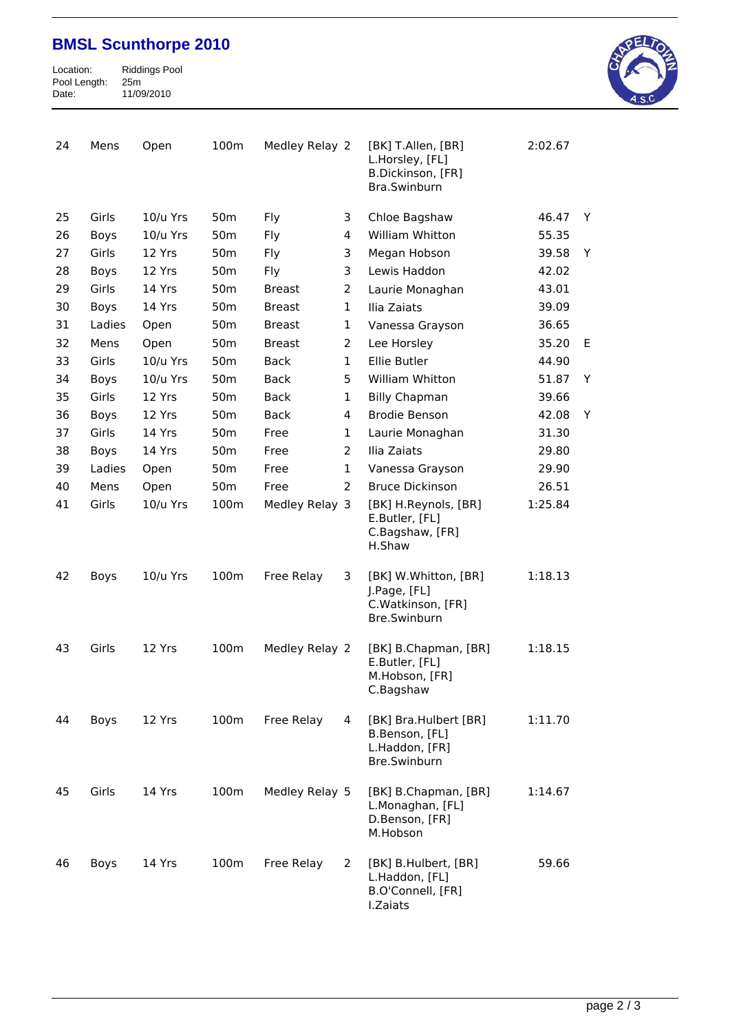## **BMSL Scunthorpe 2010**

Riddings Pool<br>25m<br>11/09/2010 Pool Length: 25m Date: 11/09/2010



| 24 | Mens        | Open     | 100m            | Medley Relay 2 |              | [BK] T.Allen, [BR]<br>L.Horsley, [FL]<br>B.Dickinson, [FR]<br>Bra.Swinburn | 2:02.67 |   |
|----|-------------|----------|-----------------|----------------|--------------|----------------------------------------------------------------------------|---------|---|
| 25 | Girls       | 10/u Yrs | 50 <sub>m</sub> | Fly            | 3            | Chloe Bagshaw                                                              | 46.47   | Y |
| 26 | Boys        | 10/u Yrs | 50 <sub>m</sub> | Fly            | 4            | William Whitton                                                            | 55.35   |   |
| 27 | Girls       | 12 Yrs   | 50 <sub>m</sub> | Fly            | 3            | Megan Hobson                                                               | 39.58   | Υ |
| 28 | <b>Boys</b> | 12 Yrs   | 50 <sub>m</sub> | Fly            | 3            | Lewis Haddon                                                               | 42.02   |   |
| 29 | Girls       | 14 Yrs   | 50 <sub>m</sub> | <b>Breast</b>  | 2            | Laurie Monaghan                                                            | 43.01   |   |
| 30 | Boys        | 14 Yrs   | 50 <sub>m</sub> | <b>Breast</b>  | $\mathbf{1}$ | Ilia Zaiats                                                                | 39.09   |   |
| 31 | Ladies      | Open     | 50 <sub>m</sub> | <b>Breast</b>  | 1            | Vanessa Grayson                                                            | 36.65   |   |
| 32 | Mens        | Open     | 50 <sub>m</sub> | <b>Breast</b>  | 2            | Lee Horsley                                                                | 35.20   | Е |
| 33 | Girls       | 10/u Yrs | 50 <sub>m</sub> | <b>Back</b>    | $\mathbf{1}$ | Ellie Butler                                                               | 44.90   |   |
| 34 | Boys        | 10/u Yrs | 50 <sub>m</sub> | Back           | 5            | William Whitton                                                            | 51.87   | Υ |
| 35 | Girls       | 12 Yrs   | 50 <sub>m</sub> | Back           | 1            | <b>Billy Chapman</b>                                                       | 39.66   |   |
| 36 | Boys        | 12 Yrs   | 50 <sub>m</sub> | <b>Back</b>    | 4            | <b>Brodie Benson</b>                                                       | 42.08   | Υ |
| 37 | Girls       | 14 Yrs   | 50 <sub>m</sub> | Free           | 1            | Laurie Monaghan                                                            | 31.30   |   |
| 38 | Boys        | 14 Yrs   | 50 <sub>m</sub> | Free           | 2            | Ilia Zaiats                                                                | 29.80   |   |
| 39 | Ladies      | Open     | 50 <sub>m</sub> | Free           | $\mathbf{1}$ | Vanessa Grayson                                                            | 29.90   |   |
| 40 | Mens        | Open     | 50 <sub>m</sub> | Free           | 2            | <b>Bruce Dickinson</b>                                                     | 26.51   |   |
| 41 | Girls       | 10/u Yrs | 100m            | Medley Relay 3 |              | [BK] H.Reynols, [BR]<br>E.Butler, [FL]<br>C.Bagshaw, [FR]<br>H.Shaw        | 1:25.84 |   |
| 42 | Boys        | 10/u Yrs | 100m            | Free Relay     | 3            | [BK] W.Whitton, [BR]<br>J.Page, [FL]<br>C.Watkinson, [FR]<br>Bre.Swinburn  | 1:18.13 |   |
| 43 | Girls       | 12 Yrs   | 100m            | Medley Relay 2 |              | [BK] B.Chapman, [BR]<br>E.Butler, [FL]<br>M.Hobson, [FR]<br>C.Bagshaw      | 1:18.15 |   |
| 44 | Boys        | 12 Yrs   | 100m            | Free Relay     | 4            | [BK] Bra.Hulbert [BR]<br>B.Benson, [FL]<br>L.Haddon, [FR]<br>Bre.Swinburn  | 1:11.70 |   |
| 45 | Girls       | 14 Yrs   | 100m            | Medley Relay 5 |              | [BK] B.Chapman, [BR]<br>L.Monaghan, [FL]<br>D.Benson, [FR]<br>M.Hobson     | 1:14.67 |   |
| 46 | Boys        | 14 Yrs   | 100m            | Free Relay     | 2            | [BK] B.Hulbert, [BR]<br>L.Haddon, [FL]<br>B.O'Connell, [FR]<br>I.Zaiats    | 59.66   |   |